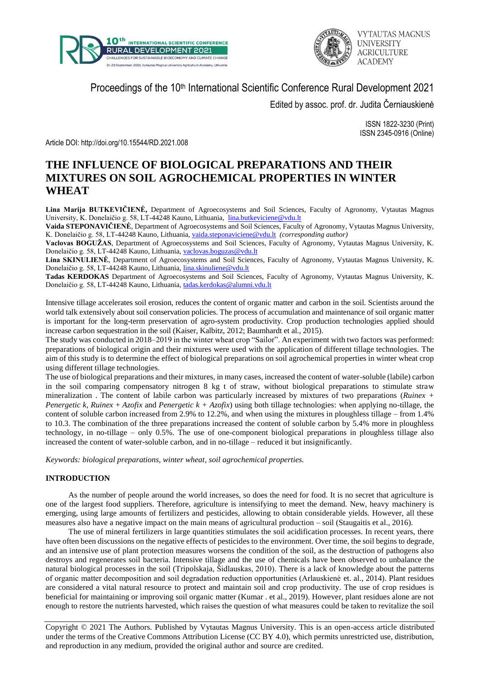



Proceedings of the 10<sup>th</sup> International Scientific Conference Rural Development 2021

Edited by assoc. prof. dr. Judita Černiauskienė

ISSN 1822-3230 (Print) ISSN 2345-0916 (Online)

Article DOI: http://doi.org/10.15544/RD.2021.008

# **THE INFLUENCE OF BIOLOGICAL PREPARATIONS AND THEIR MIXTURES ON SOIL AGROCHEMICAL PROPERTIES IN WINTER WHEAT**

**Lina Marija BUTKEVIČIENĖ,** Department of Agroecosystems and Soil Sciences, Faculty of Agronomy, Vytautas Magnus University, K. Donelaičio g. 58, LT-44248 Kauno, Lithuania, [lina.butkeviciene@vdu.lt](mailto:lina.butkeviciene@vdu.lt)

**Vaida STEPONAVIČIENĖ**, Department of Agroecosystems and Soil Sciences, Faculty of Agronomy, Vytautas Magnus University, K. Donelaičio g. 58, LT-44248 Kauno, Lithuania, [vaida.steponaviciene@vdu.lt](mailto:vaida.steponaviciene@vdu.lt) *(corresponding author)*

**Vaclovas BOGUŽAS**, Department of Agroecosystems and Soil Sciences, Faculty of Agronomy, Vytautas Magnus University, K. Donelaičio g. 58, LT-44248 Kauno, Lithuania, [vaclovas.boguzas@vdu.lt](mailto:vaclovas.boguzas@vdu.lt)

**Lina SKINULIENĖ**, Department of Agroecosystems and Soil Sciences, Faculty of Agronomy, Vytautas Magnus University, K. Donelaičio g. 58, LT-44248 Kauno, Lithuania, [lina.skinuliene@vdu.lt](mailto:lina.skinuliene@vdu.lt)

**Tadas KERDOKAS** Department of Agroecosystems and Soil Sciences, Faculty of Agronomy, Vytautas Magnus University, K. Donelaičio g. 58, LT-44248 Kauno, Lithuania, [tadas.kerdokas@alumni.vdu.lt](mailto:tadas.kerdokas@alumni.vdu.lt)

Intensive tillage accelerates soil erosion, reduces the content of organic matter and carbon in the soil. Scientists around the world talk extensively about soil conservation policies. The process of accumulation and maintenance of soil organic matter is important for the long-term preservation of agro-system productivity. Crop production technologies applied should increase carbon sequestration in the soil (Kaiser, Kalbitz, 2012; Baumhardt et al., 2015).

The study was conducted in 2018–2019 in the winter wheat crop "Sailor". An experiment with two factors was performed: preparations of biological origin and their mixtures were used with the application of different tillage technologies. The aim of this study is to determine the effect of biological preparations on soil agrochemical properties in winter wheat crop using different tillage technologies.

The use of biological preparations and their mixtures, in many cases, increased the content of water-soluble (labile) carbon in the soil comparing compensatory nitrogen 8 kg t of straw, without biological preparations to stimulate straw mineralization . The content of labile carbon was particularly increased by mixtures of two preparations (*Ruinex + Penergetic k, Ruinex* + *Azofix* and *Penergetic k + Azofix*) using both tillage technologies: when applying no-tillage, the content of soluble carbon increased from 2.9% to 12.2%, and when using the mixtures in ploughless tillage – from 1.4% to 10.3. The combination of the three preparations increased the content of soluble carbon by 5.4% more in ploughless technology, in no-tillage – only 0.5%. The use of one-component biological preparations in ploughless tillage also increased the content of water-soluble carbon, and in no-tillage – reduced it but insignificantly.

*Keywords: biological preparations, winter wheat, soil agrochemical properties.*

## **INTRODUCTION**

As the number of people around the world increases, so does the need for food. It is no secret that agriculture is one of the largest food suppliers. Therefore, agriculture is intensifying to meet the demand. New, heavy machinery is emerging, using large amounts of fertilizers and pesticides, allowing to obtain considerable yields. However, all these measures also have a negative impact on the main means of agricultural production – soil (Staugaitis et al., 2016).

The use of mineral fertilizers in large quantities stimulates the soil acidification processes. In recent years, there have often been discussions on the negative effects of pesticides to the environment. Over time, the soil begins to degrade, and an intensive use of plant protection measures worsens the condition of the soil, as the destruction of pathogens also destroys and regenerates soil bacteria. Intensive tillage and the use of chemicals have been observed to unbalance the natural biological processes in the soil (Tripolskaja, Šidlauskas, 2010). There is a lack of knowledge about the patterns of organic matter decomposition and soil degradation reduction opportunities (Arlauskienė et. al., 2014). Plant residues are considered a vital natural resource to protect and maintain soil and crop productivity. The use of crop residues is beneficial for maintaining or improving soil organic matter (Kumar . et al., 2019). However, plant residues alone are not enough to restore the nutrients harvested, which raises the question of what measures could be taken to revitalize the soil

Copyright © 2021 The Authors. Published by Vytautas Magnus University. This is an open-access article distributed under the terms of the Creative Commons Attribution License (CC BY 4.0), which permits unrestricted use, distribution, and reproduction in any medium, provided the original author and source are credited.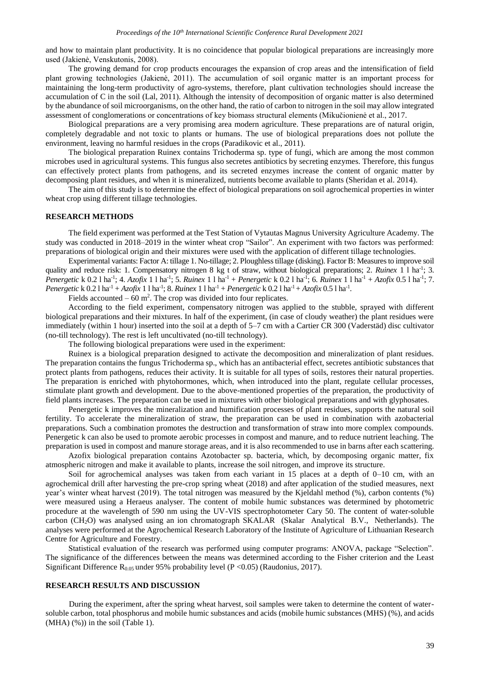and how to maintain plant productivity. It is no coincidence that popular biological preparations are increasingly more used (Jakienė, Venskutonis, 2008).

The growing demand for crop products encourages the expansion of crop areas and the intensification of field plant growing technologies (Jakienė, 2011). The accumulation of soil organic matter is an important process for maintaining the long-term productivity of agro-systems, therefore, plant cultivation technologies should increase the accumulation of C in the soil (Lal, 2011). Although the intensity of decomposition of organic matter is also determined by the abundance of soil microorganisms, on the other hand, the ratio of carbon to nitrogen in the soil may allow integrated assessment of conglomerations or concentrations of key biomass structural elements (Mikučionienė et al., 2017.

Biological preparations are a very promising area modern agriculture. These preparations are of natural origin, completely degradable and not toxic to plants or humans. The use of biological preparations does not pollute the environment, leaving no harmful residues in the crops (Paradikovic et al., 2011).

The biological preparation Ruinex contains Trichoderma sp. type of fungi, which are among the most common microbes used in agricultural systems. This fungus also secretes antibiotics by secreting enzymes. Therefore, this fungus can effectively protect plants from pathogens, and its secreted enzymes increase the content of organic matter by decomposing plant residues, and when it is mineralized, nutrients become available to plants (Sheridan et al. 2014).

The aim of this study is to determine the effect of biological preparations on soil agrochemical properties in winter wheat crop using different tillage technologies.

#### **RESEARCH METHODS**

The field experiment was performed at the Test Station of Vytautas Magnus University Agriculture Academy. The study was conducted in 2018–2019 in the winter wheat crop "Sailor". An experiment with two factors was performed: preparations of biological origin and their mixtures were used with the application of different tillage technologies.

Experimental variants: Factor A: tillage 1. No-tillage; 2. Ploughless tillage (disking). Factor B: Measures to improve soil quality and reduce risk: 1. Compensatory nitrogen 8 kg t of straw, without biological preparations; 2. *Ruinex* 1 l ha<sup>-1</sup>; 3. *Penergetic* k 0.2 l ha<sup>-1</sup>; 4. *Azofix* 1 l ha<sup>-1</sup>; 5. *Ruinex* 1 l ha<sup>-1</sup> + *Penergetic* k 0.2 l ha<sup>-1</sup>; 6. *Ruinex* 1 l ha<sup>-1</sup> + *Azofix* 0.5 l ha<sup>-1</sup>; 7. *Penergetic* k 0.2 l ha<sup>-1</sup> + *Azofix* 1 l ha<sup>-1</sup>; 8. *Ruinex* 1 l ha<sup>-1</sup> + *Penergetic* k 0.2 l ha<sup>-1</sup> + *Azofix* 0.5 l ha<sup>-1</sup>.

Fields accounted  $-60$  m<sup>2</sup>. The crop was divided into four replicates.

According to the field experiment, compensatory nitrogen was applied to the stubble, sprayed with different biological preparations and their mixtures. In half of the experiment, (in case of cloudy weather) the plant residues were immediately (within 1 hour) inserted into the soil at a depth of 5–7 cm with a Cartier CR 300 (Vaderstäd) disc cultivator (no-till technology). The rest is left uncultivated (no-till technology).

The following biological preparations were used in the experiment:

Ruinex is a biological preparation designed to activate the decomposition and mineralization of plant residues. The preparation contains the fungus Trichoderma sp., which has an antibacterial effect, secretes antibiotic substances that protect plants from pathogens, reduces their activity. It is suitable for all types of soils, restores their natural properties. The preparation is enriched with phytohormones, which, when introduced into the plant, regulate cellular processes, stimulate plant growth and development. Due to the above-mentioned properties of the preparation, the productivity of field plants increases. The preparation can be used in mixtures with other biological preparations and with glyphosates.

Penergetic k improves the mineralization and humification processes of plant residues, supports the natural soil fertility. To accelerate the mineralization of straw, the preparation can be used in combination with azobacterial preparations. Such a combination promotes the destruction and transformation of straw into more complex compounds. Penergetic k can also be used to promote aerobic processes in compost and manure, and to reduce nutrient leaching. The preparation is used in compost and manure storage areas, and it is also recommended to use in barns after each scattering.

Azofix biological preparation contains Azotobacter sp. bacteria, which, by decomposing organic matter, fix atmospheric nitrogen and make it available to plants, increase the soil nitrogen, and improve its structure.

Soil for agrochemical analyses was taken from each variant in 15 places at a depth of 0–10 cm, with an agrochemical drill after harvesting the pre-crop spring wheat (2018) and after application of the studied measures, next year's winter wheat harvest (2019). The total nitrogen was measured by the Kjeldahl method (%), carbon contents (%) were measured using a Heraeus analyser. The content of mobile humic substances was determined by photometric procedure at the wavelength of 590 nm using the UV-VIS spectrophotometer Cary 50. The content of water-soluble carbon (CH2O) was analysed using an ion chromatograph SKALAR (Skalar Analytical B.V., Netherlands). The analyses were performed at the Agrochemical Research Laboratory of the Institute of Agriculture of Lithuanian Research Centre for Agriculture and Forestry.

Statistical evaluation of the research was performed using computer programs: ANOVA, package "Selection". The significance of the differences between the means was determined according to the Fisher criterion and the Least Significant Difference  $R_{0.05}$  under 95% probability level (P < 0.05) (Raudonius, 2017).

### **RESEARCH RESULTS AND DISCUSSION**

During the experiment, after the spring wheat harvest, soil samples were taken to determine the content of watersoluble carbon, total phosphorus and mobile humic substances and acids (mobile humic substances (MHS) (%), and acids  $(MHA)$   $(\%)$ ) in the soil (Table 1).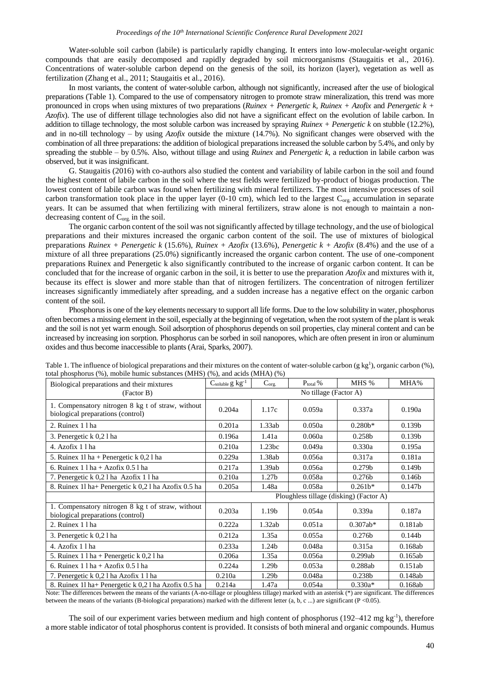Water-soluble soil carbon (labile) is particularly rapidly changing. It enters into low-molecular-weight organic compounds that are easily decomposed and rapidly degraded by soil microorganisms (Staugaitis et al., 2016). Concentrations of water-soluble carbon depend on the genesis of the soil, its horizon (layer), vegetation as well as fertilization (Zhang et al., 2011; Staugaitis et al., 2016).

In most variants, the content of water-soluble carbon, although not significantly, increased after the use of biological preparations (Table 1). Compared to the use of compensatory nitrogen to promote straw mineralization, this trend was more pronounced in crops when using mixtures of two preparations (*Ruinex + Penergetic k, Ruinex + Azofix* and *Penergetic k + Azofix*). The use of different tillage technologies also did not have a significant effect on the evolution of labile carbon. In addition to tillage technology, the most soluble carbon was increased by spraying *Ruinex + Penergetic k* on stubble (12.2%), and in no-till technology – by using *Azofix* outside the mixture (14.7%). No significant changes were observed with the combination of all three preparations: the addition of biological preparations increased the soluble carbon by 5.4%, and only by spreading the stubble – by 0.5%. Also, without tillage and using *Ruinex* and *Penergetic k*, a reduction in labile carbon was observed, but it was insignificant.

G. Staugaitis (2016) with co-authors also studied the content and variability of labile carbon in the soil and found the highest content of labile carbon in the soil where the test fields were fertilized by-product of biogas production. The lowest content of labile carbon was found when fertilizing with mineral fertilizers. The most intensive processes of soil carbon transformation took place in the upper layer (0-10 cm), which led to the largest  $C_{org.}$  accumulation in separate years. It can be assumed that when fertilizing with mineral fertilizers, straw alone is not enough to maintain a nondecreasing content of  $C_{\text{org.}}$  in the soil.

The organic carbon content of the soil was not significantly affected by tillage technology, and the use of biological preparations and their mixtures increased the organic carbon content of the soil. The use of mixtures of biological preparations *Ruinex + Penergetic k* (15.6%), *Ruinex + Azofix* (13.6%), *Penergetic k + Azofix* (8.4%) and the use of a mixture of all three preparations (25.0%) significantly increased the organic carbon content. The use of one-component preparations Ruinex and Penergetic k also significantly contributed to the increase of organic carbon content. It can be concluded that for the increase of organic carbon in the soil, it is better to use the preparation *Azofix* and mixtures with it, because its effect is slower and more stable than that of nitrogen fertilizers. The concentration of nitrogen fertilizer increases significantly immediately after spreading, and a sudden increase has a negative effect on the organic carbon content of the soil.

Phosphorus is one of the key elements necessary to support all life forms. Due to the low solubility in water, phosphorus often becomes a missing element in the soil, especially at the beginning of vegetation, when the root system of the plant is weak and the soil is not yet warm enough. Soil adsorption of phosphorus depends on soil properties, clay mineral content and can be increased by increasing ion sorption. Phosphorus can be sorbed in soil nanopores, which are often present in iron or aluminum oxides and thus become inaccessible to plants (Arai, Sparks, 2007).

| total phosphorus (70), mobile numic substances (1911). (70), and acids (1911). (70)<br>Biological preparations and their mixtures<br>(Factor B) | $C_{soluble} g kg^{-1}$                 | $C_{org.}$        | $P_{total}$ % | MHS %              | MHA%               |
|-------------------------------------------------------------------------------------------------------------------------------------------------|-----------------------------------------|-------------------|---------------|--------------------|--------------------|
|                                                                                                                                                 | No tillage (Factor A)                   |                   |               |                    |                    |
| 1. Compensatory nitrogen 8 kg t of straw, without<br>biological preparations (control)                                                          | 0.204a                                  | 1.17c             | 0.059a        | 0.337a             | 0.190a             |
| 2. Ruinex 1 l ha                                                                                                                                | 0.201a                                  | 1.33ab            | 0.050a        | $0.280b*$          | 0.139 <sub>b</sub> |
| 3. Penergetic k 0,2 l ha                                                                                                                        | 0.196a                                  | 1.41a             | 0.060a        | 0.258b             | 0.139 <sub>b</sub> |
| 4. Azofix 11ha                                                                                                                                  | 0.210a                                  | 1.23bc            | 0.049a        | 0.330a             | 0.195a             |
| 5. Ruinex 11 ha + Penergetic k 0,2 l ha                                                                                                         | 0.229a                                  | 1.38ab            | 0.056a        | 0.317a             | 0.181a             |
| 6. Ruinex $1 \ln a + A$ zofix $0.5 \ln a$                                                                                                       | 0.217a                                  | 1.39ab            | 0.056a        | 0.279 <sub>b</sub> | 0.149 <sub>b</sub> |
| 7. Penergetic k 0,2 l ha Azofix 1 l ha                                                                                                          | 0.210a                                  | 1.27 <sub>b</sub> | 0.058a        | 0.276 <sub>b</sub> | 0.146 <sub>b</sub> |
| 8. Ruinex 11 ha+ Penergetic k 0,2 l ha Azofix 0.5 ha                                                                                            | 0.205a                                  | 1.48a             | 0.058a        | $0.261b*$          | 0.147 <sub>b</sub> |
|                                                                                                                                                 | Ploughless tillage (disking) (Factor A) |                   |               |                    |                    |
| 1. Compensatory nitrogen 8 kg t of straw, without<br>biological preparations (control)                                                          | 0.203a                                  | 1.19 <sub>b</sub> | 0.054a        | 0.339a             | 0.187a             |
| 2. Ruinex 1 l ha                                                                                                                                | 0.222a                                  | 1.32ab            | 0.051a        | $0.307ab*$         | 0.181ab            |
| 3. Penergetic k 0,2 l ha                                                                                                                        | 0.212a                                  | 1.35a             | 0.055a        | 0.276 <sub>b</sub> | 0.144 <sub>b</sub> |
| 4. Azofix 11ha                                                                                                                                  | 0.233a                                  | 1.24 <sub>b</sub> | 0.048a        | 0.315a             | 0.168ab            |
| 5. Ruinex 1 l ha + Penergetic k 0,2 l ha                                                                                                        | 0.206a                                  | 1.35a             | 0.056a        | 0.299ab            | 0.165ab            |
| 6. Ruinex $1 \ln a + A$ zofix 0.5 l ha                                                                                                          | 0.224a                                  | 1.29 <sub>b</sub> | 0.053a        | 0.288ab            | 0.151ab            |
| 7. Penergetic k 0,2 l ha Azofix 1 l ha                                                                                                          | 0.210a                                  | 1.29 <sub>b</sub> | 0.048a        | 0.238b             | 0.148ab            |
| 8. Ruinex 11 ha+ Penergetic k 0,2 l ha Azofix 0.5 ha                                                                                            | 0.214a                                  | 1.47a             | 0.054a        | $0.330a*$          | 0.168ab            |

Table 1. The influence of biological preparations and their mixtures on the content of water-soluble carbon  $(g \, kg^1)$ , organic carbon  $(\%)$ , total phosphorus  $(0)$ , mobile humic substances  $(MHS)$   $(0)$ , and acids  $(MHA)$   $(0)$ 

Note: The differences between the means of the variants (A-no-tillage or ploughless tillage) marked with an asterisk (\*) are significant. The differences between the means of the variants (B-biological preparations) marked with the different letter (a, b, c ...) are significant (P <0.05).

The soil of our experiment varies between medium and high content of phosphorus (192–412 mg kg-1), therefore a more stable indicator of total phosphorus content is provided. It consists of both mineral and organic compounds. Humus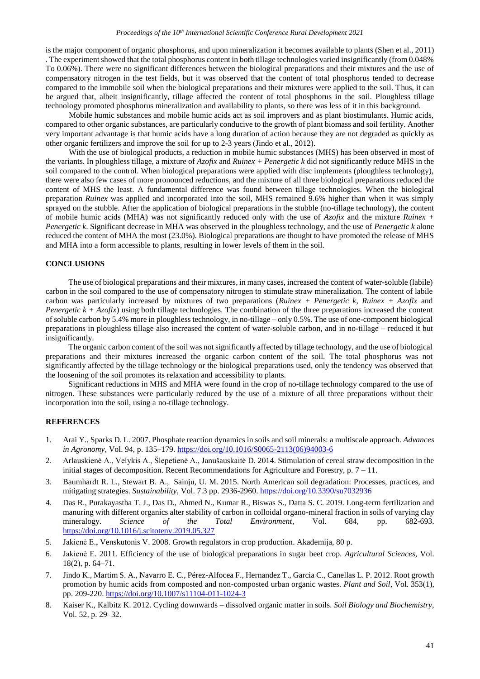is the major component of organic phosphorus, and upon mineralization it becomes available to plants (Shen et al., 2011) . The experiment showed that the total phosphorus content in both tillage technologies varied insignificantly (from 0.048% To 0.06%). There were no significant differences between the biological preparations and their mixtures and the use of compensatory nitrogen in the test fields, but it was observed that the content of total phosphorus tended to decrease compared to the immobile soil when the biological preparations and their mixtures were applied to the soil. Thus, it can be argued that, albeit insignificantly, tillage affected the content of total phosphorus in the soil. Ploughless tillage technology promoted phosphorus mineralization and availability to plants, so there was less of it in this background.

Mobile humic substances and mobile humic acids act as soil improvers and as plant biostimulants. Humic acids, compared to other organic substances, are particularly conducive to the growth of plant biomass and soil fertility. Another very important advantage is that humic acids have a long duration of action because they are not degraded as quickly as other organic fertilizers and improve the soil for up to 2-3 years (Jindo et al., 2012).

With the use of biological products, a reduction in mobile humic substances (MHS) has been observed in most of the variants. In ploughless tillage, a mixture of *Azofix* and *Ruinex + Penergetic k* did not significantly reduce MHS in the soil compared to the control. When biological preparations were applied with disc implements (ploughless technology), there were also few cases of more pronounced reductions, and the mixture of all three biological preparations reduced the content of MHS the least. A fundamental difference was found between tillage technologies. When the biological preparation *Ruinex* was applied and incorporated into the soil, MHS remained 9.6% higher than when it was simply sprayed on the stubble. After the application of biological preparations in the stubble (no-tillage technology), the content of mobile humic acids (MHA) was not significantly reduced only with the use of *Azofix* and the mixture *Ruinex + Penergetic k*. Significant decrease in MHA was observed in the ploughless technology, and the use of *Penergetic k* alone reduced the content of MHA the most (23.0%). Biological preparations are thought to have promoted the release of MHS and MHA into a form accessible to plants, resulting in lower levels of them in the soil.

## **CONCLUSIONS**

The use of biological preparations and their mixtures, in many cases, increased the content of water-soluble (labile) carbon in the soil compared to the use of compensatory nitrogen to stimulate straw mineralization. The content of labile carbon was particularly increased by mixtures of two preparations (*Ruinex + Penergetic k*, *Ruinex + Azofix* and *Penergetic k + Azofix*) using both tillage technologies. The combination of the three preparations increased the content of soluble carbon by 5.4% more in ploughless technology, in no-tillage – only 0.5%. The use of one-component biological preparations in ploughless tillage also increased the content of water-soluble carbon, and in no-tillage – reduced it but insignificantly.

The organic carbon content of the soil was not significantly affected by tillage technology, and the use of biological preparations and their mixtures increased the organic carbon content of the soil. The total phosphorus was not significantly affected by the tillage technology or the biological preparations used, only the tendency was observed that the loosening of the soil promotes its relaxation and accessibility to plants.

Significant reductions in MHS and MHA were found in the crop of no-tillage technology compared to the use of nitrogen. These substances were particularly reduced by the use of a mixture of all three preparations without their incorporation into the soil, using a no-tillage technology.

### **REFERENCES**

- 1. Arai Y., Sparks D. L. 2007. Phosphate reaction dynamics in soils and soil minerals: a multiscale approach. *Advances in Agronomy*, Vol. 94, p. 135–179. [https://doi.org/10.1016/S0065-2113\(06\)94003-6](https://doi.org/10.1016/S0065-2113(06)94003-6)
- 2. Arlauskienė A., Velykis A., Šlepetienė A., Janušauskaitė D. 2014. Stimulation of cereal straw decomposition in the initial stages of decomposition. Recent Recommendations for Agriculture and Forestry, p. 7 – 11.
- 3. Baumhardt R. L., Stewart B. A., Sainju, U. M. 2015. North American soil degradation: Processes, practices, and mitigating strategies. *Sustainability*, Vol. 7.3 pp. 2936-2960. <https://doi.org/10.3390/su7032936>
- 4. Das R., Purakayastha T. J., Das D., Ahmed N., Kumar R., Biswas S., Datta S. C. 2019. Long-term fertilization and manuring with different organics alter stability of carbon in colloidal organo-mineral fraction in soils of varying clay mineralogy. *Science of the Total Environment*, Vol. 684, pp. 682-693. <https://doi.org/10.1016/j.scitotenv.2019.05.327>
- 5. Jakienė E., Venskutonis V. 2008. Growth regulators in crop production. Akademija, 80 p.
- 6. Jakienė E. 2011. Efficiency of the use of biological preparations in sugar beet crop. *Agricultural Sciences*, Vol. 18(2), p. 64–71.
- 7. Jindo K., Martim S. A., Navarro E. C., Pérez-Alfocea F., Hernandez T., Garcia C., Canellas L. P. 2012. Root growth promotion by humic acids from composted and non-composted urban organic wastes. *Plant and Soil*, Vol. 353(1), pp. 209-220. <https://doi.org/10.1007/s11104-011-1024-3>
- 8. Kaiser K., Kalbitz K. 2012. Cycling downwards dissolved organic matter in soils. *Soil Biology and Biochemistry*, Vol. 52, p. 29–32.